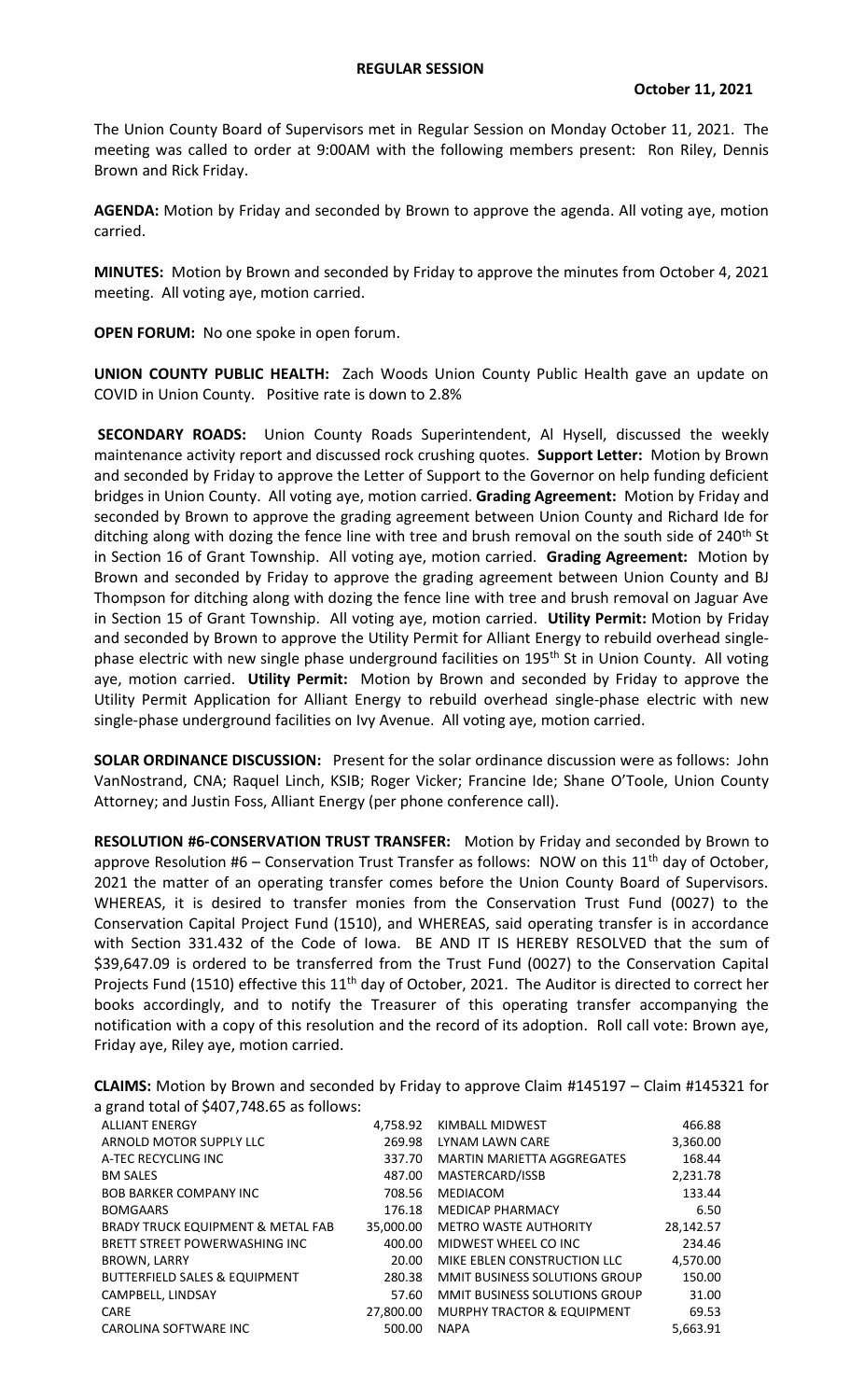The Union County Board of Supervisors met in Regular Session on Monday October 11, 2021. The meeting was called to order at 9:00AM with the following members present: Ron Riley, Dennis Brown and Rick Friday.

**AGENDA:** Motion by Friday and seconded by Brown to approve the agenda. All voting aye, motion carried.

**MINUTES:** Motion by Brown and seconded by Friday to approve the minutes from October 4, 2021 meeting. All voting aye, motion carried.

**OPEN FORUM:** No one spoke in open forum.

**UNION COUNTY PUBLIC HEALTH:** Zach Woods Union County Public Health gave an update on COVID in Union County. Positive rate is down to 2.8%

**SECONDARY ROADS:** Union County Roads Superintendent, Al Hysell, discussed the weekly maintenance activity report and discussed rock crushing quotes. **Support Letter:** Motion by Brown and seconded by Friday to approve the Letter of Support to the Governor on help funding deficient bridges in Union County. All voting aye, motion carried. **Grading Agreement:** Motion by Friday and seconded by Brown to approve the grading agreement between Union County and Richard Ide for ditching along with dozing the fence line with tree and brush removal on the south side of 240<sup>th</sup> St in Section 16 of Grant Township. All voting aye, motion carried. **Grading Agreement:** Motion by Brown and seconded by Friday to approve the grading agreement between Union County and BJ Thompson for ditching along with dozing the fence line with tree and brush removal on Jaguar Ave in Section 15 of Grant Township. All voting aye, motion carried. **Utility Permit:** Motion by Friday and seconded by Brown to approve the Utility Permit for Alliant Energy to rebuild overhead singlephase electric with new single phase underground facilities on 195<sup>th</sup> St in Union County. All voting aye, motion carried. **Utility Permit:** Motion by Brown and seconded by Friday to approve the Utility Permit Application for Alliant Energy to rebuild overhead single-phase electric with new single-phase underground facilities on Ivy Avenue. All voting aye, motion carried.

**SOLAR ORDINANCE DISCUSSION:** Present for the solar ordinance discussion were as follows: John VanNostrand, CNA; Raquel Linch, KSIB; Roger Vicker; Francine Ide; Shane O'Toole, Union County Attorney; and Justin Foss, Alliant Energy (per phone conference call).

**RESOLUTION #6-CONSERVATION TRUST TRANSFER:** Motion by Friday and seconded by Brown to approve Resolution #6 – Conservation Trust Transfer as follows: NOW on this  $11<sup>th</sup>$  day of October, 2021 the matter of an operating transfer comes before the Union County Board of Supervisors. WHEREAS, it is desired to transfer monies from the Conservation Trust Fund (0027) to the Conservation Capital Project Fund (1510), and WHEREAS, said operating transfer is in accordance with Section 331.432 of the Code of Iowa. BE AND IT IS HEREBY RESOLVED that the sum of \$39,647.09 is ordered to be transferred from the Trust Fund (0027) to the Conservation Capital Projects Fund (1510) effective this 11<sup>th</sup> day of October, 2021. The Auditor is directed to correct her books accordingly, and to notify the Treasurer of this operating transfer accompanying the notification with a copy of this resolution and the record of its adoption. Roll call vote: Brown aye, Friday aye, Riley aye, motion carried.

| $\sim$ Ardrid to tar or $\sim$ 10777 10100 as 101101101 |           |                                       |           |
|---------------------------------------------------------|-----------|---------------------------------------|-----------|
| <b>ALLIANT ENERGY</b>                                   | 4.758.92  | KIMBALL MIDWEST                       | 466.88    |
| ARNOLD MOTOR SUPPLY LLC                                 | 269.98    | LYNAM LAWN CARE                       | 3,360.00  |
| A-TEC RECYCLING INC                                     | 337.70    | <b>MARTIN MARIETTA AGGREGATES</b>     | 168.44    |
| <b>BM SALES</b>                                         | 487.00    | MASTERCARD/ISSB                       | 2,231.78  |
| <b>BOB BARKER COMPANY INC.</b>                          | 708.56    | MEDIACOM                              | 133.44    |
| <b>BOMGAARS</b>                                         | 176.18    | <b>MEDICAP PHARMACY</b>               | 6.50      |
| <b>BRADY TRUCK EQUIPMENT &amp; METAL FAB</b>            | 35,000,00 | <b>METRO WASTE AUTHORITY</b>          | 28,142.57 |
| <b>BRETT STREET POWERWASHING INC</b>                    | 400.00    | MIDWEST WHEEL CO INC                  | 234.46    |
| <b>BROWN, LARRY</b>                                     | 20.00     | MIKE EBLEN CONSTRUCTION LLC           | 4,570.00  |
| <b>BUTTERFIELD SALES &amp; EQUIPMENT</b>                | 280.38    | MMIT BUSINESS SOLUTIONS GROUP         | 150.00    |
| CAMPBELL, LINDSAY                                       | 57.60     | <b>MMIT BUSINESS SOLUTIONS GROUP</b>  | 31.00     |
| <b>CARE</b>                                             | 27,800.00 | <b>MURPHY TRACTOR &amp; EQUIPMENT</b> | 69.53     |
| <b>CAROLINA SOFTWARE INC</b>                            | 500.00    | <b>NAPA</b>                           | 5.663.91  |

**CLAIMS:** Motion by Brown and seconded by Friday to approve Claim #145197 – Claim #145321 for a grand total of \$407,748.65 as follows: